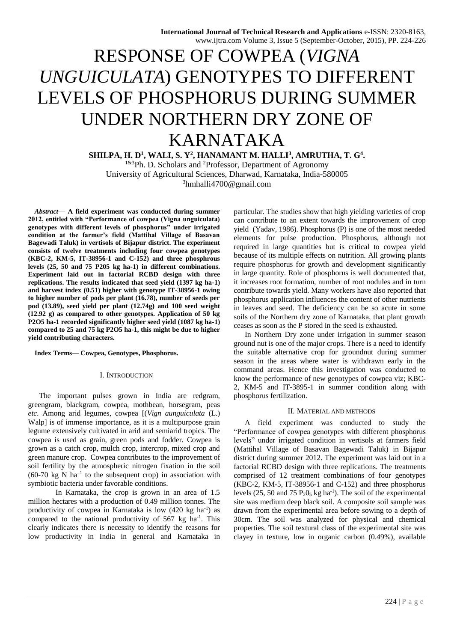# RESPONSE OF COWPEA (*VIGNA UNGUICULATA*) GENOTYPES TO DIFFERENT LEVELS OF PHOSPHORUS DURING SUMMER UNDER NORTHERN DRY ZONE OF KARNATAKA

**SHILPA, H. D<sup>1</sup> , WALI, S. Y<sup>2</sup> , HANAMANT M. HALLI<sup>3</sup> , AMRUTHA, T. G<sup>4</sup> .**

1&3Ph. D. Scholars and <sup>2</sup>Professor, Department of Agronomy University of Agricultural Sciences, Dharwad, Karnataka, India-580005 <sup>3</sup>hmhalli4700@gmail.com

*Abstract***— A field experiment was conducted during summer 2012, entitled with "Performance of cowpea (Vigna unguiculata) genotypes with different levels of phosphorus" under irrigated condition at the farmer's field (Mattihal Village of Basavan Bagewadi Taluk) in vertisols of Bijapur district. The experiment consists of twelve treatments including four cowpea genotypes (KBC-2, KM-5, IT-38956-1 and C-152) and three phosphrous levels (25, 50 and 75 P205 kg ha-1) in different combinations. Experiment laid out in factorial RCBD design with three replications. The results indicated that seed yield (1397 kg ha-1) and harvest index (0.51) higher with genotype IT-38956-1 owing to higher number of pods per plant (16.78), number of seeds per pod (13.89), seed yield per plant (12.74g) and 100 seed weight (12.92 g) as compared to other genotypes. Application of 50 kg P2O5 ha-1 recorded significantly higher seed yield (1087 kg ha-1) compared to 25 and 75 kg P2O5 ha-1, this might be due to higher yield contributing characters.** 

#### **Index Terms— Cowpea, Genotypes, Phosphorus.**

## I. INTRODUCTION

The important pulses grown in India are redgram, greengram, blackgram, cowpea, mothbean, horsegram, peas *etc*. Among arid legumes, cowpea [(*Vign aunguiculata* (L.) Walp] is of immense importance, as it is a multipurpose grain legume extensively cultivated in arid and semiarid tropics. The cowpea is used as grain, green pods and fodder. Cowpea is grown as a catch crop, mulch crop, intercrop, mixed crop and green manure crop. Cowpea contributes to the improvement of soil fertility by the atmospheric nitrogen fixation in the soil  $(60-70 \text{ kg N} \text{ ha}^{-1}$  to the subsequent crop) in association with symbiotic bacteria under favorable conditions.

In Karnataka, the crop is grown in an area of 1.5 million hectares with a production of 0.49 million tonnes. The productivity of cowpea in Karnataka is low  $(420 \text{ kg ha}^{-1})$  as compared to the national productivity of  $567 \text{ kg}$  ha<sup>-1</sup>. This clearly indicates there is necessity to identify the reasons for low productivity in India in general and Karnataka in particular. The studies show that high yielding varieties of crop can contribute to an extent towards the improvement of crop yield (Yadav, 1986). Phosphorus (P) is one of the most needed elements for pulse production. Phosphorus, although not required in large quantities but is critical to cowpea yield because of its multiple effects on nutrition. All growing plants require phosphorus for growth and development significantly in large quantity. Role of phosphorus is well documented that, it increases root formation, number of root nodules and in turn contribute towards yield. Many workers have also reported that phosphorus application influences the content of other nutrients in leaves and seed. The deficiency can be so acute in some soils of the Northern dry zone of Karnataka, that plant growth ceases as soon as the P stored in the seed is exhausted.

In Northern Dry zone under irrigation in summer season ground nut is one of the major crops. There is a need to identify the suitable alternative crop for groundnut during summer season in the areas where water is withdrawn early in the command areas. Hence this investigation was conducted to know the performance of new genotypes of cowpea viz; KBC-2, KM-5 and IT-3895-1 in summer condition along with phosphorus fertilization.

#### II. MATERIAL AND METHODS

A field experiment was conducted to study the "Performance of cowpea genotypes with different phosphorus levels" under irrigated condition in vertisols at farmers field (Mattihal Village of Basavan Bagewadi Taluk) in Bijapur district during summer 2012. The experiment was laid out in a factorial RCBD design with three replications. The treatments comprised of 12 treatment combinations of four genotypes (KBC-2, KM-5, IT-38956-1 and C-152) and three phosphorus levels (25, 50 and 75  $P_2O_5$  kg ha<sup>-1</sup>). The soil of the experimental site was medium deep black soil. A composite soil sample was drawn from the experimental area before sowing to a depth of 30cm. The soil was analyzed for physical and chemical properties. The soil textural class of the experimental site was clayey in texture, low in organic carbon (0.49%), available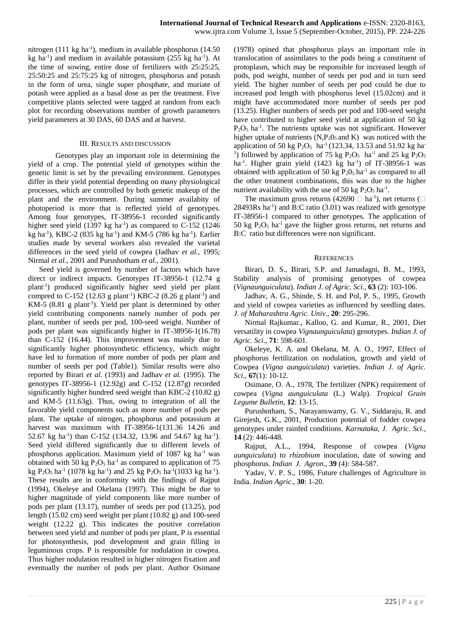nitrogen (111 kg ha<sup>-1</sup>), medium in available phosphorus (14.50) kg ha<sup>-1</sup>) and medium in available potassium (255 kg ha<sup>-1</sup>). At the time of sowing, entire dose of fertilizers with 25:25:25, 25:50:25 and 25:75:25 kg of nitrogen, phosphorus and potash in the form of urea, single super phosphate, and muriate of potash were applied as a basal dose as per the treatment. Five competitive plants selected were tagged at random from each plot for recording observations number of growth parameters yield parameters at 30 DAS, 60 DAS and at harvest.

### III. RESULTS AND DISCUSSION

Genotypes play an important role in determining the yield of a crop. The potential yield of genotypes within the genetic limit is set by the prevailing environment. Genotypes differ in their yield potential depending on many physiological processes, which are controlled by both genetic makeup of the plant and the environment. During summer availabity of photoperiod is more that is reflected yield of genotypes. Among four genotypes, IT-38956-1 recorded significantly higher seed yield  $(1397 \text{ kg ha}^{-1})$  as compared to C-152 (1246) kg ha<sup>-1</sup>), KBC-2 (835 kg ha<sup>-1</sup>) and KM-5 (786 kg ha<sup>-1</sup>). Earlier studies made by several workers also revealed the varietal differences in the seed yield of cowpea (Jadhav *et al.*, 1995; Nirmal *et al.*, 2001 and Purushotham *et al.*, 2001).

Seed yield is governed by number of factors which have direct or indirect impacts. Genotypes IT-38956-1 (12.74 g plant-1) produced significantly higher seed yield per plant compred to C-152 (12.63 g plant<sup>-1</sup>) KBC-2 (8.26 g plant<sup>-1</sup>) and KM-5  $(8.81 \text{ g plant}^{-1})$ . Yield per plant is determined by other yield contributing components namely number of pods per plant, number of seeds per pod, 100-seed weight. Number of pods per plant was significantly higher in IT-38956-1(16.78) than C-152 (16.44). This improvement was mainly due to significantly higher photosynthetic efficiency, which might have led to formation of more number of pods per plant and number of seeds per pod (Table1). Similar results were also reported by Birari *et al.* (1993) and Jadhav *et al.* (1995). The genotypes IT-38956-1 (12.92g) and C-152 (12.87g) recorded significantly higher hundred seed weight than KBC-2 (10.82 g) and KM-5 (11.63g). Thus, owing to integration of all the favorable yield components such as more number of pods per plant. The uptake of nitrogen, phosphorus and potassium at harvest was maximum with IT-38956-1(131.36 14.26 and 52.67 kg ha<sup>-1</sup>) than C-152 (134.32, 13.96 and 54.67 kg ha<sup>-1</sup>). Seed yield differed significantly due to different levels of phosphorus application. Maximum yield of 1087 kg ha-1 was obtained with 50 kg  $P_2O_5$  ha<sup>-1</sup> as compared to application of 75 kg P<sub>2</sub>O<sub>5</sub> ha<sup>-1</sup> (1078 kg ha<sup>-1</sup>) and 25 kg P<sub>2</sub>O<sub>5</sub> ha<sup>-1</sup>(1033 kg ha<sup>-1</sup>). These results are in conformity with the findings of Rajput (1994), Okeleye and Okelana (1997). This might be due to higher magnitude of yield components like more number of pods per plant (13.17), number of seeds per pod (13.25), pod length (15.02 cm) seed weight per plant (10.82 g) and 100-seed weight (12.22 g). This indicates the positive correlation between seed yield and number of pods per plant, P is essential for photosynthesis, pod development and grain filling in leguminous crops. P is responsible for nodulation in cowpea. Thus higher nodulation resulted in higher nitrogen fixation and eventually the number of pods per plant. Author Osimane

(1978) opined that phosphorus plays an important role in translocation of assimilates to the pods being a constituent of protoplasm, which may be responsible for increased length of pods, pod weight, number of seeds per pod and in turn seed yield. The higher number of seeds per pod could be due to increased pod length with phosphorus level (15.02cm) and it might have accommodated more number of seeds per pod (13.25). Higher numbers of seeds per pod and 100-seed weight have contributed to higher seed yield at application of 50 kg  $P_2O_5$  ha<sup>-1</sup>. The nutrients uptake was not significant. However higher uptake of nutrients  $(N, P_2O_5$  and K) was noticed with the application of 50 kg P<sub>2</sub>O<sub>5</sub> ha<sup>-1</sup> (123.34, 13.53 and 51.92 kg ha-<sup>1</sup>) followed by application of 75 kg  $P_2O_5$  ha<sup>-1</sup> and 25 kg  $P_2O_5$ ha<sup>-1</sup>. Higher grain yield  $(1423 \text{ kg} \text{ ha}^{-1})$  of IT-38956-1 was obtained with application of 50 kg  $P_2O_5$  ha<sup>-1</sup> as compared to all the other treatment combinations, this was due to the higher nutrient availability with the use of 50 kg  $P_2O_5$  ha<sup>-1</sup>.

The maximum gross returns (42690  $\Box$  ha<sup>-1</sup>), net returns ( $\Box$  $28493Rs$  ha<sup>-1</sup>) and B:C ratio  $(3.01)$  was realized with genotype IT-38956-1 compared to other genotypes. The application of 50 kg  $P_2O_5$  ha<sup>-1</sup> gave the higher gross returns, net returns and B:C ratio but differences were non significant.

#### **REFERENCES**

Birari, D. S., Birari, S.P. and Jamadagni, B. M., 1993, Stability analysis of promising genotypes of cowpea (*Vignaunguiculata*). *Indian J. of Agric. Sci.,* **63** (2): 103-106.

Jadhav, A. G., Shinde, S. H. and Pol, P. S., 1995, Growth and yield of cowpea varieties as influenced by seedling dates. *J. of Maharashtra Agric. Univ*., **20**: 295-296.

Nirmal Rajkumar., Kalloo, G. and Kumar, R., 2001, Diet versatility in cowpea *Vignaunguiculata*) genotypes. *Indian J. of Agric. Sci*., **71**: 598-601.

Okeleye, K. A. and Okelana, M. A. O., 1997, Effect of phosphorus fertilization on nodulation, growth and yield of Cowpea (*Vigna aunguiculata*) varieties. *Indian J. of Agric. Sci*., **67**(1): 10-12.

Osimane, O. A., 1978, The fertilizer (NPK) requirement of cowpea (*Vigna aunguiculata* (L.) Walp). *Tropical Grain Legume Bulletin*, **12**: 13-15.

Purushotham, S., Narayanswamy, G. V., Siddaraju, R. and Girejesh, G.K., 2001, Production potential of fodder cowpea genotypes under rainfed conditions. *Karnataka, J. Agric. Sci.,*  **14** (2): 446-448.

Rajput, A.L., 1994, Response of cowpea (*Vigna aunguiculata*) to *rhizobium* inoculation, date of sowing and phosphorus. *Indian J. Agron*., **39** (4): 584-587.

Yadav, V. P. S., 1986, Future challenges of Agriculture in India. *Indian Agric*.*,* **30**: 1-20.